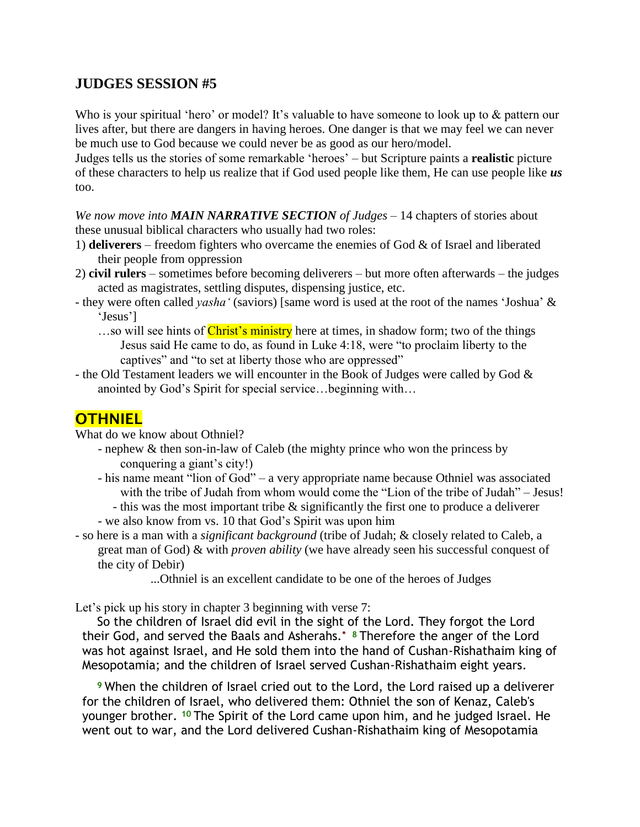## **JUDGES SESSION #5**

Who is your spiritual 'hero' or model? It's valuable to have someone to look up to  $\&$  pattern our lives after, but there are dangers in having heroes. One danger is that we may feel we can never be much use to God because we could never be as good as our hero/model.

Judges tells us the stories of some remarkable ‗heroes' – but Scripture paints a **realistic** picture of these characters to help us realize that if God used people like them, He can use people like *us* too.

*We now move into MAIN NARRATIVE SECTION of Judges* – 14 chapters of stories about these unusual biblical characters who usually had two roles:

- 1) **deliverers** freedom fighters who overcame the enemies of God & of Israel and liberated their people from oppression
- 2) **civil rulers** sometimes before becoming deliverers but more often afterwards the judges acted as magistrates, settling disputes, dispensing justice, etc.
- they were often called *yasha'* (saviors) [same word is used at the root of the names 'Joshua' & 'Jesus']
	- ...so will see hints of Christ's ministry here at times, in shadow form; two of the things Jesus said He came to do, as found in Luke 4:18, were "to proclaim liberty to the captives" and "to set at liberty those who are oppressed"
- the Old Testament leaders we will encounter in the Book of Judges were called by God & anointed by God's Spirit for special service…beginning with…

## **OTHNIEL**

What do we know about Othniel?

- nephew & then son-in-law of Caleb (the mighty prince who won the princess by conquering a giant's city!)
- his name meant "lion of God" a very appropriate name because Othniel was associated with the tribe of Judah from whom would come the "Lion of the tribe of Judah" – Jesus!
- this was the most important tribe & significantly the first one to produce a deliverer - we also know from vs. 10 that God's Spirit was upon him
- so here is a man with a *significant background* (tribe of Judah; & closely related to Caleb, a great man of God) & with *proven ability* (we have already seen his successful conquest of the city of Debir)
	- ...Othniel is an excellent candidate to be one of the heroes of Judges

Let's pick up his story in chapter 3 beginning with verse 7:

So the children of Israel did evil in the sight of the Lord. They forgot the Lord their God, and served the Baals and Asherahs.**\* <sup>8</sup>** Therefore the anger of the Lord was hot against Israel, and He sold them into the hand of Cushan-Rishathaim king of Mesopotamia; and the children of Israel served Cushan-Rishathaim eight years.

**<sup>9</sup>** When the children of Israel cried out to the Lord, the Lord raised up a deliverer for the children of Israel, who delivered them: Othniel the son of Kenaz, Caleb's younger brother. **<sup>10</sup>** The Spirit of the Lord came upon him, and he judged Israel. He went out to war, and the Lord delivered Cushan-Rishathaim king of Mesopotamia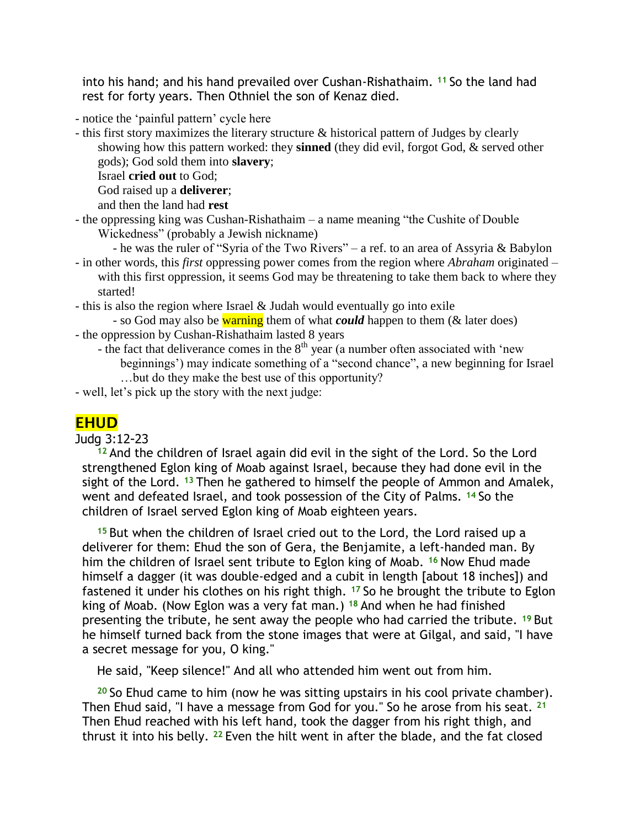into his hand; and his hand prevailed over Cushan-Rishathaim. **<sup>11</sup>** So the land had rest for forty years. Then Othniel the son of Kenaz died.

- notice the 'painful pattern' cycle here

- this first story maximizes the literary structure & historical pattern of Judges by clearly showing how this pattern worked: they **sinned** (they did evil, forgot God, & served other gods); God sold them into **slavery**;

Israel **cried out** to God;

God raised up a **deliverer**;

and then the land had **rest**

- $-$  the oppressing king was Cushan-Rishathaim  $-$  a name meaning "the Cushite of Double" Wickedness" (probably a Jewish nickname)
	- he was the ruler of "Syria of the Two Rivers" a ref. to an area of Assyria & Babylon
- in other words, this *first* oppressing power comes from the region where *Abraham* originated with this first oppression, it seems God may be threatening to take them back to where they started!
- this is also the region where Israel & Judah would eventually go into exile
- so God may also be warning them of what *could* happen to them (& later does) - the oppression by Cushan-Rishathaim lasted 8 years
	- the fact that deliverance comes in the  $8<sup>th</sup>$  year (a number often associated with 'new beginnings') may indicate something of a "second chance", a new beginning for Israel …but do they make the best use of this opportunity?
- well, let's pick up the story with the next judge:

## **EHUD**

## Judg 3:12-23

**<sup>12</sup>** And the children of Israel again did evil in the sight of the Lord. So the Lord strengthened Eglon king of Moab against Israel, because they had done evil in the sight of the Lord. **<sup>13</sup>** Then he gathered to himself the people of Ammon and Amalek, went and defeated Israel, and took possession of the City of Palms. **<sup>14</sup>** So the children of Israel served Eglon king of Moab eighteen years.

**<sup>15</sup>** But when the children of Israel cried out to the Lord, the Lord raised up a deliverer for them: Ehud the son of Gera, the Benjamite, a left-handed man. By him the children of Israel sent tribute to Eglon king of Moab. **<sup>16</sup>** Now Ehud made himself a dagger (it was double-edged and a cubit in length [about 18 inches]) and fastened it under his clothes on his right thigh. **<sup>17</sup>** So he brought the tribute to Eglon king of Moab. (Now Eglon was a very fat man.) **<sup>18</sup>** And when he had finished presenting the tribute, he sent away the people who had carried the tribute. **<sup>19</sup>** But he himself turned back from the stone images that were at Gilgal, and said, "I have a secret message for you, O king."

He said, "Keep silence!" And all who attended him went out from him.

**<sup>20</sup>** So Ehud came to him (now he was sitting upstairs in his cool private chamber). Then Ehud said, "I have a message from God for you." So he arose from his seat. **<sup>21</sup>** Then Ehud reached with his left hand, took the dagger from his right thigh, and thrust it into his belly. **<sup>22</sup>** Even the hilt went in after the blade, and the fat closed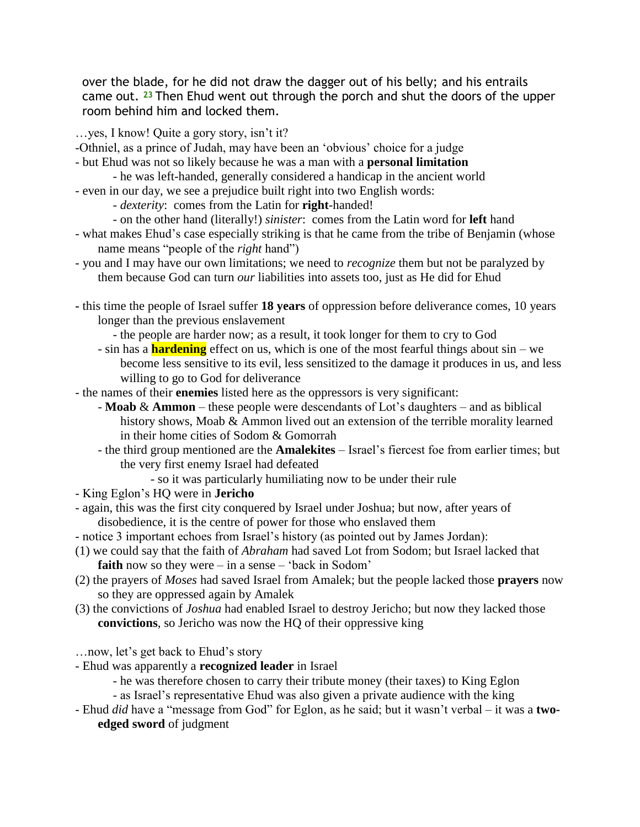over the blade, for he did not draw the dagger out of his belly; and his entrails came out. **<sup>23</sup>** Then Ehud went out through the porch and shut the doors of the upper room behind him and locked them.

…yes, I know! Quite a gory story, isn't it?

- -Othniel, as a prince of Judah, may have been an 'obvious' choice for a judge
- but Ehud was not so likely because he was a man with a **personal limitation**
	- he was left-handed, generally considered a handicap in the ancient world
- even in our day, we see a prejudice built right into two English words:
	- *dexterity*: comes from the Latin for **right**-handed!
	- on the other hand (literally!) *sinister*: comes from the Latin word for **left** hand
- what makes Ehud's case especially striking is that he came from the tribe of Benjamin (whose name means "people of the *right* hand")
- you and I may have our own limitations; we need to *recognize* them but not be paralyzed by them because God can turn *our* liabilities into assets too, just as He did for Ehud
- **-** this time the people of Israel suffer **18 years** of oppression before deliverance comes, 10 years longer than the previous enslavement
	- the people are harder now; as a result, it took longer for them to cry to God
	- sin has a **hardening** effect on us, which is one of the most fearful things about sin we become less sensitive to its evil, less sensitized to the damage it produces in us, and less willing to go to God for deliverance
- the names of their **enemies** listed here as the oppressors is very significant:
	- **Moab** & **Ammon** these people were descendants of Lot's daughters and as biblical history shows, Moab & Ammon lived out an extension of the terrible morality learned in their home cities of Sodom & Gomorrah
	- the third group mentioned are the **Amalekites** Israel's fiercest foe from earlier times; but the very first enemy Israel had defeated
		- so it was particularly humiliating now to be under their rule
- King Eglon's HQ were in **Jericho**
- again, this was the first city conquered by Israel under Joshua; but now, after years of disobedience, it is the centre of power for those who enslaved them
- notice 3 important echoes from Israel's history (as pointed out by James Jordan):
- (1) we could say that the faith of *Abraham* had saved Lot from Sodom; but Israel lacked that **faith** now so they were – in a sense – 'back in Sodom'
- (2) the prayers of *Moses* had saved Israel from Amalek; but the people lacked those **prayers** now so they are oppressed again by Amalek
- (3) the convictions of *Joshua* had enabled Israel to destroy Jericho; but now they lacked those **convictions**, so Jericho was now the HQ of their oppressive king

…now, let's get back to Ehud's story

- Ehud was apparently a **recognized leader** in Israel
	- he was therefore chosen to carry their tribute money (their taxes) to King Eglon
	- as Israel's representative Ehud was also given a private audience with the king
- Ehud *did* have a "message from God" for Eglon, as he said; but it wasn't verbal it was a **twoedged sword** of judgment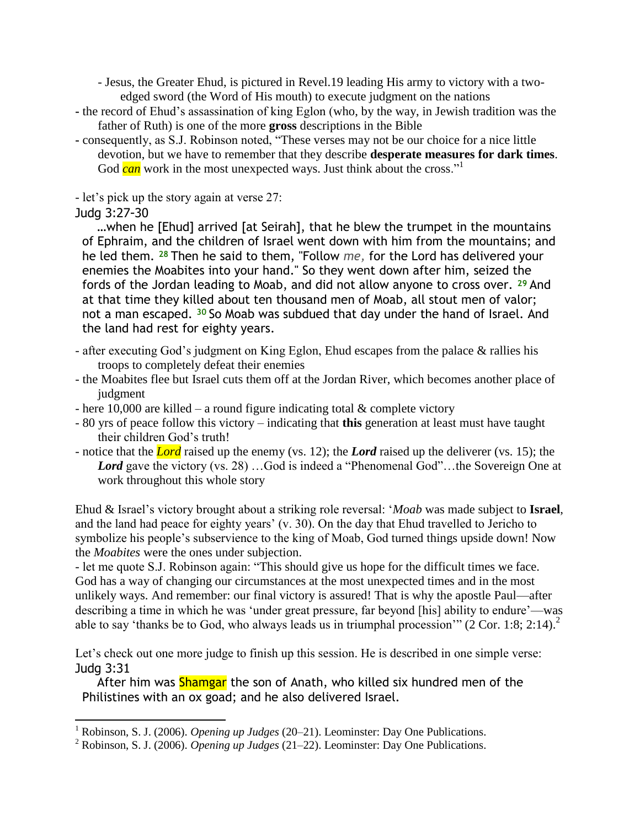- Jesus, the Greater Ehud, is pictured in Revel.19 leading His army to victory with a twoedged sword (the Word of His mouth) to execute judgment on the nations

- **-** the record of Ehud's assassination of king Eglon (who, by the way, in Jewish tradition was the father of Ruth) is one of the more **gross** descriptions in the Bible
- consequently, as S.J. Robinson noted, "These verses may not be our choice for a nice little devotion, but we have to remember that they describe **desperate measures for dark times**. God *can* work in the most unexpected ways. Just think about the cross."

- let's pick up the story again at verse 27:

Judg 3:27-30

l

…when he [Ehud] arrived [at Seirah], that he blew the trumpet in the mountains of Ephraim, and the children of Israel went down with him from the mountains; and he led them. **<sup>28</sup>** Then he said to them, "Follow *me,* for the Lord has delivered your enemies the Moabites into your hand." So they went down after him, seized the fords of the Jordan leading to Moab, and did not allow anyone to cross over. **<sup>29</sup>** And at that time they killed about ten thousand men of Moab, all stout men of valor; not a man escaped. **<sup>30</sup>** So Moab was subdued that day under the hand of Israel. And the land had rest for eighty years.

- after executing God's judgment on King Eglon, Ehud escapes from the palace & rallies his troops to completely defeat their enemies
- the Moabites flee but Israel cuts them off at the Jordan River, which becomes another place of judgment
- here 10,000 are killed a round figure indicating total  $\&$  complete victory
- 80 yrs of peace follow this victory indicating that **this** generation at least must have taught their children God's truth!
- notice that the *Lord* raised up the enemy (vs. 12); the *Lord* raised up the deliverer (vs. 15); the *Lord* gave the victory (vs. 28) …God is indeed a "Phenomenal God"...the Sovereign One at work throughout this whole story

Ehud & Israel's victory brought about a striking role reversal: ‗*Moab* was made subject to **Israel**, and the land had peace for eighty years' (v. 30). On the day that Ehud travelled to Jericho to symbolize his people's subservience to the king of Moab, God turned things upside down! Now the *Moabites* were the ones under subjection.

- let me quote S.J. Robinson again: "This should give us hope for the difficult times we face. God has a way of changing our circumstances at the most unexpected times and in the most unlikely ways. And remember: our final victory is assured! That is why the apostle Paul—after describing a time in which he was 'under great pressure, far beyond [his] ability to endure'—was able to say 'thanks be to God, who always leads us in triumphal procession'" ( $2$  Cor. 1:8; 2:14).<sup>2</sup>

Let's check out one more judge to finish up this session. He is described in one simple verse: Judg 3:31

After him was **Shamgar** the son of Anath, who killed six hundred men of the Philistines with an ox goad; and he also delivered Israel.

<sup>&</sup>lt;sup>1</sup> Robinson, S. J. (2006). *Opening up Judges* (20–21). Leominster: Day One Publications.

<sup>2</sup> Robinson, S. J. (2006). *Opening up Judges* (21–22). Leominster: Day One Publications.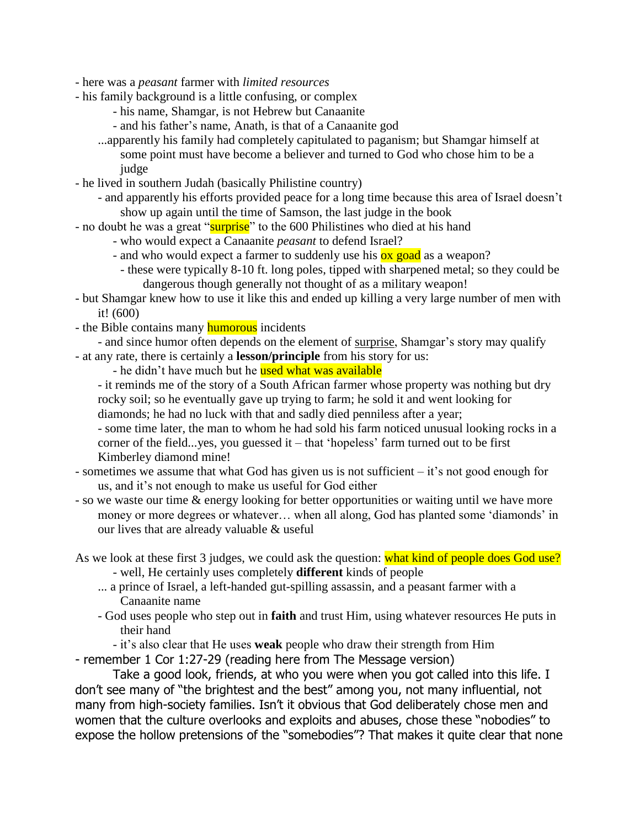- here was a *peasant* farmer with *limited resources*
- his family background is a little confusing, or complex
	- his name, Shamgar, is not Hebrew but Canaanite
	- and his father's name, Anath, is that of a Canaanite god
	- ...apparently his family had completely capitulated to paganism; but Shamgar himself at some point must have become a believer and turned to God who chose him to be a judge
- he lived in southern Judah (basically Philistine country)
	- and apparently his efforts provided peace for a long time because this area of Israel doesn't show up again until the time of Samson, the last judge in the book
- no doubt he was a great "surprise" to the 600 Philistines who died at his hand
	- who would expect a Canaanite *peasant* to defend Israel?
	- and who would expect a farmer to suddenly use his **ox goad** as a weapon?
		- these were typically 8-10 ft. long poles, tipped with sharpened metal; so they could be dangerous though generally not thought of as a military weapon!
- but Shamgar knew how to use it like this and ended up killing a very large number of men with it! (600)
- the Bible contains many **humorous** incidents
- and since humor often depends on the element of surprise, Shamgar's story may qualify - at any rate, there is certainly a **lesson/principle** from his story for us:

- he didn't have much but he used what was available

- it reminds me of the story of a South African farmer whose property was nothing but dry rocky soil; so he eventually gave up trying to farm; he sold it and went looking for
- diamonds; he had no luck with that and sadly died penniless after a year;
- some time later, the man to whom he had sold his farm noticed unusual looking rocks in a corner of the field...yes, you guessed it  $-$  that 'hopeless' farm turned out to be first Kimberley diamond mine!
- sometimes we assume that what God has given us is not sufficient it's not good enough for us, and it's not enough to make us useful for God either
- so we waste our time & energy looking for better opportunities or waiting until we have more money or more degrees or whatever... when all along, God has planted some 'diamonds' in our lives that are already valuable & useful
- As we look at these first 3 judges, we could ask the question: what kind of people does God use?
	- well, He certainly uses completely **different** kinds of people
	- ... a prince of Israel, a left-handed gut-spilling assassin, and a peasant farmer with a Canaanite name
	- God uses people who step out in **faith** and trust Him, using whatever resources He puts in their hand
		- it's also clear that He uses **weak** people who draw their strength from Him

- remember 1 Cor 1:27-29 (reading here from The Message version)

Take a good look, friends, at who you were when you got called into this life. I don't see many of "the brightest and the best" among you, not many influential, not many from high-society families. Isn't it obvious that God deliberately chose men and women that the culture overlooks and exploits and abuses, chose these "nobodies" to expose the hollow pretensions of the "somebodies"? That makes it quite clear that none